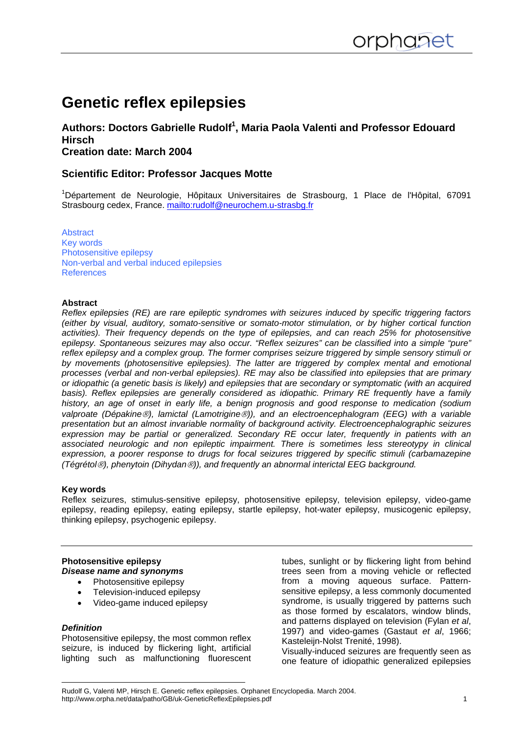# **Genetic reflex epilepsies**

# Authors: Doctors Gabrielle Rudolf<sup>1</sup>, Maria Paola Valenti and Professor Edouard **Hirsch Creation date: March 2004**

# **Scientific Editor: Professor Jacques Motte**

<sup>1</sup>Département de Neurologie, Hôpitaux Universitaires de Strasbourg, 1 Place de l'Hôpital, 67091 Strasbourg cedex, France. <mailto:rudolf@neurochem.u-strasbg.fr>

[Abstract](#page-0-0) [Key words](#page-0-0) [Photosensitive epilepsy](#page-0-0) [Non-verbal and verbal induced epilepsies](#page-2-0) **[References](#page-4-0)** 

#### **Abstract**

<span id="page-0-0"></span>

*Reflex epilepsies (RE) are rare epileptic syndromes with seizures induced by specific triggering factors (either by visual, auditory, somato-sensitive or somato-motor stimulation, or by higher cortical function activities). Their frequency depends on the type of epilepsies, and can reach 25% for photosensitive epilepsy. Spontaneous seizures may also occur. "Reflex seizures" can be classified into a simple "pure" reflex epilepsy and a complex group. The former comprises seizure triggered by simple sensory stimuli or by movements (photosensitive epilepsies). The latter are triggered by complex mental and emotional processes (verbal and non-verbal epilepsies). RE may also be classified into epilepsies that are primary or idiopathic (a genetic basis is likely) and epilepsies that are secondary or symptomatic (with an acquired basis). Reflex epilepsies are generally considered as idiopathic. Primary RE frequently have a family history, an age of onset in early life, a benign prognosis and good response to medication (sodium valproate (Dépakine*®*), lamictal (Lamotrigine*®*)), and an electroencephalogram (EEG) with a variable presentation but an almost invariable normality of background activity. Electroencephalographic seizures expression may be partial or generalized. Secondary RE occur later, frequently in patients with an associated neurologic and non epileptic impairment. There is sometimes less stereotypy in clinical expression, a poorer response to drugs for focal seizures triggered by specific stimuli (carbamazepine (Tégrétol*®*), phenytoin (Dihydan*®*)), and frequently an abnormal interictal EEG background.* 

#### **Key words**

Reflex seizures, stimulus-sensitive epilepsy, photosensitive epilepsy, television epilepsy, video-game epilepsy, reading epilepsy, eating epilepsy, startle epilepsy, hot-water epilepsy, musicogenic epilepsy, thinking epilepsy, psychogenic epilepsy.

## **Photosensitive epilepsy** *Disease name and synonyms*

- Photosensitive epilepsy
- Television-induced epilepsy
- Video-game induced epilepsy

#### *Definition*

Photosensitive epilepsy, the most common reflex seizure, is induced by flickering light, artificial lighting such as malfunctioning fluorescent

tubes, sunlight or by flickering light from behind trees seen from a moving vehicle or reflected from a moving aqueous surface. Patternsensitive epilepsy, a less commonly documented syndrome, is usually triggered by patterns such as those formed by escalators, window blinds, and patterns displayed on television (Fylan *et al*, 1997) and video-games (Gastaut *et al*, 1966; Kasteleijn-Nolst Trenité, 1998).

Visually-induced seizures are frequently seen as one feature of idiopathic generalized epilepsies

Rudolf G, Valenti MP, Hirsch E. Genetic reflex epilepsies. Orphanet Encyclopedia. March 2004. http://www.orpha.net/data/patho/GB/uk-GeneticReflexEpilepsies.pdf 1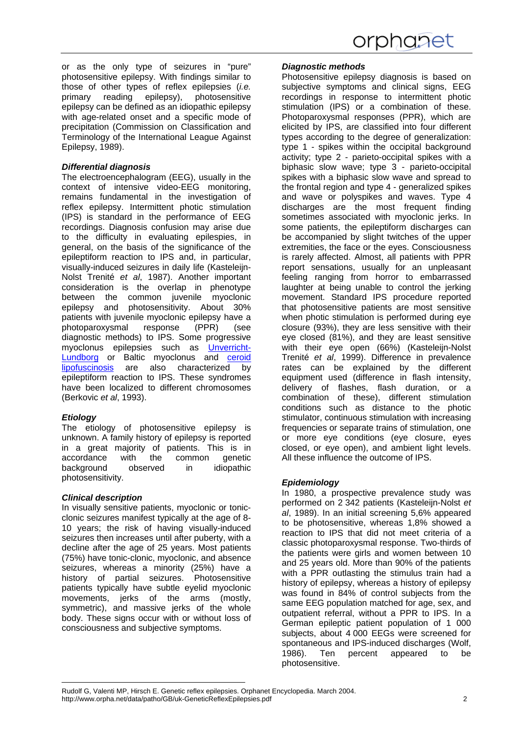or as the only type of seizures in "pure" photosensitive epilepsy. With findings similar to those of other types of reflex epilepsies (*i.e.* primary reading epilepsy), photosensitive epilepsy can be defined as an idiopathic epilepsy with age-related onset and a specific mode of precipitation (Commission on Classification and Terminology of the International League Against Epilepsy, 1989).

## *Differential diagnosis*

The electroencephalogram (EEG), usually in the context of intensive video-EEG monitoring, remains fundamental in the investigation of reflex epilepsy. Intermittent photic stimulation (IPS) is standard in the performance of EEG recordings. Diagnosis confusion may arise due to the difficulty in evaluating epilespies, in general, on the basis of the significance of the epileptiform reaction to IPS and, in particular, visually-induced seizures in daily life (Kasteleijn-Nolst Trenité *et al*, 1987). Another important consideration is the overlap in phenotype between the common juvenile myoclonic epilepsy and photosensitivity. About 30% patients with juvenile myoclonic epilepsy have a photoparoxysmal response (PPR) (see diagnostic methods) to IPS. Some progressive myoclonus epilepsies such as [Unverricht-](http://www.orpha.net/consor/cgi-bin/OC_Exp.php?Lng=GB&Expert=308)[Lundborg](http://www.orpha.net/consor/cgi-bin/OC_Exp.php?Lng=GB&Expert=308) or Baltic myoclonus and [ceroid](http://www.orpha.net/consor/cgi-bin/OC_Exp.php?Lng=GB&Expert=216) [lipofuscinosis](http://www.orpha.net/consor/cgi-bin/OC_Exp.php?Lng=GB&Expert=216) are also characterized by epileptiform reaction to IPS. These syndromes have been localized to different chromosomes (Berkovic *et al*, 1993).

# *Etiology*

The etiology of photosensitive epilepsy is unknown. A family history of epilepsy is reported in a great majority of patients. This is in accordance with the common genetic background observed in idiopathic photosensitivity.

# *Clinical description*

In visually sensitive patients, myoclonic or tonicclonic seizures manifest typically at the age of 8- 10 years; the risk of having visually-induced seizures then increases until after puberty, with a decline after the age of 25 years. Most patients (75%) have tonic-clonic, myoclonic, and absence seizures, whereas a minority (25%) have a history of partial seizures. Photosensitive patients typically have subtle eyelid myoclonic movements, jerks of the arms (mostly, symmetric), and massive jerks of the whole body. These signs occur with or without loss of consciousness and subjective symptoms.

## *Diagnostic methods*

Photosensitive epilepsy diagnosis is based on subjective symptoms and clinical signs, EEG recordings in response to intermittent photic stimulation (IPS) or a combination of these. Photoparoxysmal responses (PPR), which are elicited by IPS, are classified into four different types according to the degree of generalization: type 1 - spikes within the occipital background activity; type 2 - parieto-occipital spikes with a biphasic slow wave; type 3 - parieto-occipital spikes with a biphasic slow wave and spread to the frontal region and type 4 - generalized spikes and wave or polyspikes and waves. Type 4 discharges are the most frequent finding sometimes associated with myoclonic jerks. In some patients, the epileptiform discharges can be accompanied by slight twitches of the upper extremities, the face or the eyes. Consciousness is rarely affected. Almost, all patients with PPR report sensations, usually for an unpleasant feeling ranging from horror to embarrassed laughter at being unable to control the jerking movement. Standard IPS procedure reported that photosensitive patients are most sensitive when photic stimulation is performed during eye closure (93%), they are less sensitive with their eye closed (81%), and they are least sensitive with their eye open (66%) (Kasteleijn-Nolst Trenité *et al*, 1999). Difference in prevalence rates can be explained by the different equipment used (difference in flash intensity, delivery of flashes, flash duration, or a combination of these), different stimulation conditions such as distance to the photic stimulator, continuous stimulation with increasing frequencies or separate trains of stimulation, one or more eye conditions (eye closure, eyes closed, or eye open), and ambient light levels. All these influence the outcome of IPS.

# *Epidemiology*

In 1980, a prospective prevalence study was performed on 2 342 patients (Kasteleijn-Nolst *et al*, 1989). In an initial screening 5,6% appeared to be photosensitive, whereas 1,8% showed a reaction to IPS that did not meet criteria of a classic photoparoxysmal response. Two-thirds of the patients were girls and women between 10 and 25 years old. More than 90% of the patients with a PPR outlasting the stimulus train had a history of epilepsy, whereas a history of epilepsy was found in 84% of control subjects from the same EEG population matched for age, sex, and outpatient referral, without a PPR to IPS. In a German epileptic patient population of 1 000 subjects, about 4 000 EEGs were screened for spontaneous and IPS-induced discharges (Wolf, 1986). Ten percent appeared to be photosensitive.

Rudolf G, Valenti MP, Hirsch E. Genetic reflex epilepsies. Orphanet Encyclopedia. March 2004. http://www.orpha.net/data/patho/GB/uk-GeneticReflexEpilepsies.pdf 2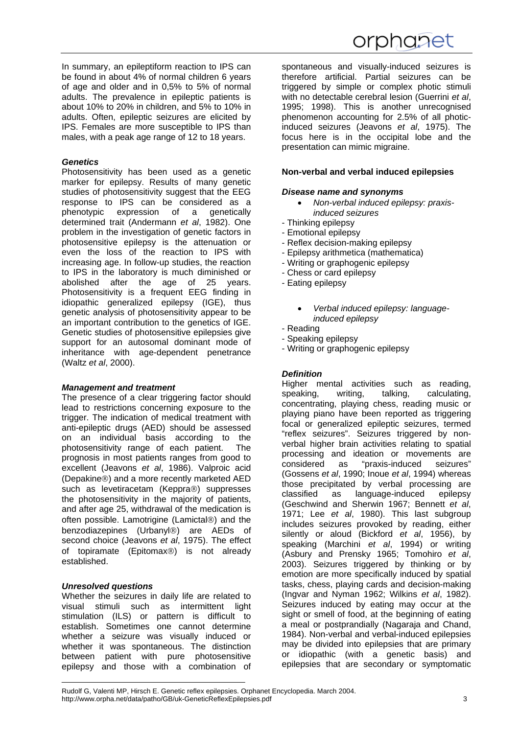In summary, an epileptiform reaction to IPS can be found in about 4% of normal children 6 years of age and older and in 0,5% to 5% of normal adults. The prevalence in epileptic patients is about 10% to 20% in children, and 5% to 10% in adults. Often, epileptic seizures are elicited by IPS. Females are more susceptible to IPS than males, with a peak age range of 12 to 18 years.

#### *Genetics*

<span id="page-2-0"></span>

Photosensitivity has been used as a genetic marker for epilepsy. Results of many genetic studies of photosensitivity suggest that the EEG response to IPS can be considered as a phenotypic expression of a genetically determined trait (Andermann *et al*, 1982). One problem in the investigation of genetic factors in photosensitive epilepsy is the attenuation or even the loss of the reaction to IPS with increasing age. In follow-up studies, the reaction to IPS in the laboratory is much diminished or abolished after the age of 25 years. Photosensitivity is a frequent EEG finding in idiopathic generalized epilepsy (IGE), thus genetic analysis of photosensitivity appear to be an important contribution to the genetics of IGE. Genetic studies of photosensitive epilepsies give support for an autosomal dominant mode of inheritance with age-dependent penetrance (Waltz *et al*, 2000).

#### *Management and treatment*

The presence of a clear triggering factor should lead to restrictions concerning exposure to the trigger. The indication of medical treatment with anti-epileptic drugs (AED) should be assessed on an individual basis according to the photosensitivity range of each patient. The prognosis in most patients ranges from good to excellent (Jeavons *et al*, 1986). Valproic acid (Depakine®) and a more recently marketed AED such as levetiracetam (Keppra®) suppresses the photosensitivity in the majority of patients, and after age 25, withdrawal of the medication is often possible. Lamotrigine (Lamictal®) and the benzodiazepines (Urbanyl®) are AEDs of second choice (Jeavons *et al*, 1975). The effect of topiramate (Epitomax®) is not already established.

#### *Unresolved questions*

Whether the seizures in daily life are related to visual stimuli such as intermittent light stimulation (ILS) or pattern is difficult to establish. Sometimes one cannot determine whether a seizure was visually induced or whether it was spontaneous. The distinction between patient with pure photosensitive epilepsy and those with a combination of spontaneous and visually-induced seizures is therefore artificial. Partial seizures can be triggered by simple or complex photic stimuli with no detectable cerebral lesion (Guerrini *et al*, 1995; 1998). This is another unrecognised phenomenon accounting for 2.5% of all photicinduced seizures (Jeavons *et al*, 1975). The focus here is in the occipital lobe and the presentation can mimic migraine.

#### **Non-verbal and verbal induced epilepsies**

#### *Disease name and synonyms*

- *Non-verbal induced epilepsy: praxisinduced seizures*
- Thinking epilepsy
- Emotional epilepsy
- Reflex decision-making epilepsy
- Epilepsy arithmetica (mathematica)
- Writing or graphogenic epilepsy
- Chess or card epilepsy
- Eating epilepsy
	- *Verbal induced epilepsy: languageinduced epilepsy*
- Reading
- Speaking epilepsy
- Writing or graphogenic epilepsy

#### *Definition*

Higher mental activities such as reading, speaking, writing, talking, calculating, concentrating, playing chess, reading music or playing piano have been reported as triggering focal or generalized epileptic seizures, termed "reflex seizures". Seizures triggered by nonverbal higher brain activities relating to spatial processing and ideation or movements are considered as "praxis-induced seizures" (Gossens *et al*, 1990; Inoue *et al*, 1994) whereas those precipitated by verbal processing are classified as language-induced epilepsy (Geschwind and Sherwin 1967; Bennett *et al*, 1971; Lee *et al*, 1980). This last subgroup includes seizures provoked by reading, either silently or aloud (Bickford *et al*, 1956), by speaking (Marchini *et al*, 1994) or writing (Asbury and Prensky 1965; Tomohiro *et al*, 2003). Seizures triggered by thinking or by emotion are more specifically induced by spatial tasks, chess, playing cards and decision-making (Ingvar and Nyman 1962; Wilkins *et al*, 1982). Seizures induced by eating may occur at the sight or smell of food, at the beginning of eating a meal or postprandially (Nagaraja and Chand, 1984). Non-verbal and verbal-induced epilepsies may be divided into epilepsies that are primary or idiopathic (with a genetic basis) and epilepsies that are secondary or symptomatic

Rudolf G, Valenti MP, Hirsch E. Genetic reflex epilepsies. Orphanet Encyclopedia. March 2004. http://www.orpha.net/data/patho/GB/uk-GeneticReflexEpilepsies.pdf 3 3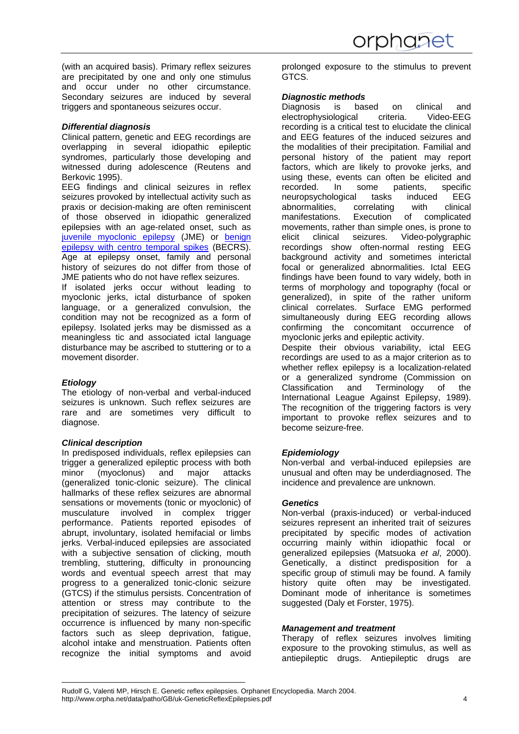(with an acquired basis). Primary reflex seizures are precipitated by one and only one stimulus and occur under no other circumstance. Secondary seizures are induced by several triggers and spontaneous seizures occur.

## *Differential diagnosis*

Clinical pattern, genetic and EEG recordings are overlapping in several idiopathic epileptic syndromes, particularly those developing and witnessed during adolescence (Reutens and Berkovic 1995).

EEG findings and clinical seizures in reflex seizures provoked by intellectual activity such as praxis or decision-making are often reminiscent of those observed in idiopathic generalized epilepsies with an age-related onset, such as [juvenile myoclonic epilepsy](http://www.orpha.net/consor/cgi-bin/OC_Exp.php?Lng=GB&Expert=307) (JME) or [benign](http://www.orpha.net/consor/cgi-bin/OC_Exp.php?Lng=GB&Expert=1945) [epilepsy with centro temporal spikes](http://www.orpha.net/consor/cgi-bin/OC_Exp.php?Lng=GB&Expert=1945) (BECRS). Age at epilepsy onset, family and personal history of seizures do not differ from those of JME patients who do not have reflex seizures.

If isolated jerks occur without leading to myoclonic jerks, ictal disturbance of spoken language, or a generalized convulsion, the condition may not be recognized as a form of epilepsy. Isolated jerks may be dismissed as a meaningless tic and associated ictal language disturbance may be ascribed to stuttering or to a movement disorder.

# *Etiology*

The etiology of non-verbal and verbal-induced seizures is unknown. Such reflex seizures are rare and are sometimes very difficult to diagnose.

#### *Clinical description*

In predisposed individuals, reflex epilepsies can trigger a generalized epileptic process with both minor (myoclonus) and major attacks (generalized tonic-clonic seizure). The clinical hallmarks of these reflex seizures are abnormal sensations or movements (tonic or myoclonic) of musculature involved in complex trigger performance. Patients reported episodes of abrupt, involuntary, isolated hemifacial or limbs jerks. Verbal-induced epilepsies are associated with a subjective sensation of clicking, mouth trembling, stuttering, difficulty in pronouncing words and eventual speech arrest that may progress to a generalized tonic-clonic seizure (GTCS) if the stimulus persists. Concentration of attention or stress may contribute to the precipitation of seizures. The latency of seizure occurrence is influenced by many non-specific factors such as sleep deprivation, fatigue, alcohol intake and menstruation. Patients often recognize the initial symptoms and avoid

prolonged exposure to the stimulus to prevent GTCS.

## *Diagnostic methods*

Diagnosis is based on clinical and electrophysiological criteria. Video-EEG recording is a critical test to elucidate the clinical and EEG features of the induced seizures and the modalities of their precipitation. Familial and personal history of the patient may report factors, which are likely to provoke jerks, and using these, events can often be elicited and<br>recorded. In some patients. specific recorded. In some patients, specific<br>neuropsychological tasks induced EEG neuropsychological tasks induced abnormalities, correlating with clinical manifestations. Execution of complicated movements, rather than simple ones, is prone to elicit clinical seizures. Video-polygraphic recordings show often-normal resting EEG background activity and sometimes interictal focal or generalized abnormalities. Ictal EEG findings have been found to vary widely, both in terms of morphology and topography (focal or generalized), in spite of the rather uniform clinical correlates. Surface EMG performed simultaneously during EEG recording allows confirming the concomitant occurrence of myoclonic jerks and epileptic activity. Despite their obvious variability, ictal EEG recordings are used to as a major criterion as to whether reflex epilepsy is a localization-related or a generalized syndrome (Commission on

Classification and Terminology of the International League Against Epilepsy, 1989). The recognition of the triggering factors is very important to provoke reflex seizures and to become seizure-free.

# *Epidemiology*

Non-verbal and verbal-induced epilepsies are unusual and often may be underdiagnosed. The incidence and prevalence are unknown.

# *Genetics*

Non-verbal (praxis-induced) or verbal-induced seizures represent an inherited trait of seizures precipitated by specific modes of activation occurring mainly within idiopathic focal or generalized epilepsies (Matsuoka *et al*, 2000). Genetically, a distinct predisposition for a specific group of stimuli may be found. A family history quite often may be investigated. Dominant mode of inheritance is sometimes suggested (Daly et Forster, 1975).

#### *Management and treatment*

Therapy of reflex seizures involves limiting exposure to the provoking stimulus, as well as antiepileptic drugs. Antiepileptic drugs are

Rudolf G, Valenti MP, Hirsch E. Genetic reflex epilepsies. Orphanet Encyclopedia. March 2004. http://www.orpha.net/data/patho/GB/uk-GeneticReflexEpilepsies.pdf 4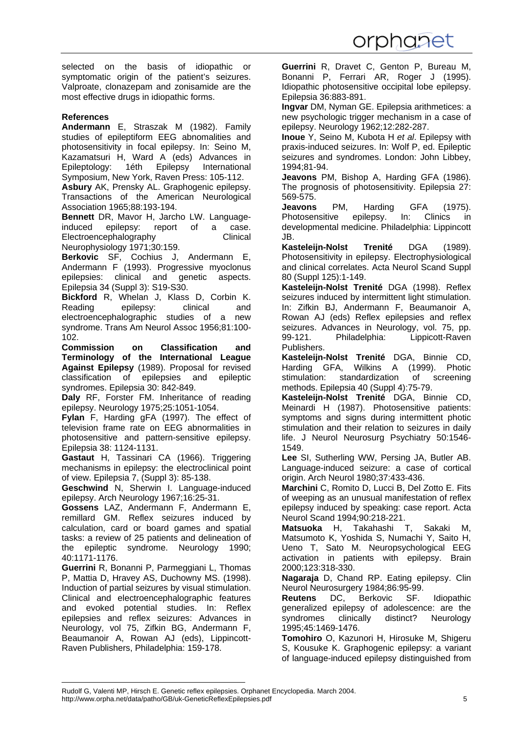selected on the basis of idiopathic or symptomatic origin of the patient's seizures. Valproate, clonazepam and zonisamide are the most effective drugs in idiopathic forms.

### **References**

<span id="page-4-0"></span>

**Andermann** E, Straszak M (1982). Family studies of epileptiform EEG abnomalities and photosensitivity in focal epilepsy. In: Seino M, Kazamatsuri H, Ward A (eds) Advances in Epileptology: 1éth Epilepsy International Symposium, New York, Raven Press: 105-112.

**Asbury** AK, Prensky AL. Graphogenic epilepsy. Transactions of the American Neurological Association 1965;88:193-194.

**Bennett** DR, Mavor H, Jarcho LW. Languageinduced epilepsy: report of a case. Electroencephalography Clinical Neurophysiology 1971;30:159.

**Berkovic** SF, Cochius J, Andermann E, Andermann F (1993). Progressive myoclonus epilepsies: clinical and genetic aspects. Epilepsia 34 (Suppl 3): S19-S30.

**Bickford** R, Whelan J, Klass D, Corbin K. Reading epilepsy: clinical and electroencephalographic studies of a new syndrome. Trans Am Neurol Assoc 1956;81:100- 102.

**Commission on Classification and Terminology of the International League Against Epilepsy** (1989). Proposal for revised classification of epilepsies and epileptic syndromes. Epilepsia 30: 842-849.

**Daly** RF, Forster FM. Inheritance of reading epilepsy. Neurology 1975;25:1051-1054.

**Fylan** F, Harding gFA (1997). The effect of television frame rate on EEG abnormalities in photosensitive and pattern-sensitive epilepsy. Epilepsia 38: 1124-1131.

**Gastaut** H, Tassinari CA (1966). Triggering mechanisms in epilepsy: the electroclinical point of view. Epilepsia 7, (Suppl 3): 85-138.

**Geschwind** N, Sherwin I. Language-induced epilepsy. Arch Neurology 1967;16:25-31.

**Gossens** LAZ, Andermann F, Andermann E, remillard GM. Reflex seizures induced by calculation, card or board games and spatial tasks: a review of 25 patients and delineation of the epileptic syndrome. Neurology 1990; 40:1171-1176.

**Guerrini** R, Bonanni P, Parmeggiani L, Thomas P, Mattia D, Hravey AS, Duchowny MS. (1998). Induction of partial seizures by visual stimulation. Clinical and electroencephalographic features and evoked potential studies. In: Reflex epilepsies and reflex seizures: Advances in Neurology, vol 75, Zifkin BG, Andermann F, Beaumanoir A, Rowan AJ (eds), Lippincott-Raven Publishers, Philadelphia: 159-178.

**Guerrini** R, Dravet C, Genton P, Bureau M, Bonanni P, Ferrari AR, Roger J (1995). Idiopathic photosensitive occipital lobe epilepsy. Epilepsia 36:883-891.

**Ingvar** DM, Nyman GE. Epilepsia arithmetices: a new psychologic trigger mechanism in a case of epilepsy. Neurology 1962;12:282-287.

**Inoue** Y, Seino M, Kubota H *et al*. Epilepsy with praxis-induced seizures. In: Wolf P, ed. Epileptic seizures and syndromes. London: John Libbey, 1994;81-94.

**Jeavons** PM, Bishop A, Harding GFA (1986). The prognosis of photosensitivity. Epilepsia 27: 569-575.

**Jeavons** PM, Harding GFA (1975). Photosensitive epilepsy. In: Clinics in developmental medicine. Philadelphia: Lippincott JB.

**Kasteleijn-Nolst Trenité** DGA (1989). Photosensitivity in epilepsy. Electrophysiological and clinical correlates. Acta Neurol Scand Suppl 80 (Suppl 125):1-149.

**Kasteleijn-Nolst Trenité** DGA (1998). Reflex seizures induced by intermittent light stimulation. In: Zifkin BJ, Andermann F, Beaumanoir A, Rowan AJ (eds) Reflex epilepsies and reflex seizures. Advances in Neurology, vol. 75, pp. 99-121. Philadelphia: Lippicott-Raven Publishers.

**Kasteleijn-Nolst Trenité** DGA, Binnie CD, Harding GFA, Wilkins A (1999). Photic stimulation: standardization of screening methods. Epilepsia 40 (Suppl 4):75-79.

**Kasteleijn-Nolst Trenité** DGA, Binnie CD, Meinardi H (1987). Photosensitive patients: symptoms and signs during intermittent photic stimulation and their relation to seizures in daily life. J Neurol Neurosurg Psychiatry 50:1546- 1549.

**Lee** SI, Sutherling WW, Persing JA, Butler AB. Language-induced seizure: a case of cortical origin. Arch Neurol 1980;37:433-436.

**Marchini** C, Romito D, Lucci B, Del Zotto E. Fits of weeping as an unusual manifestation of reflex epilepsy induced by speaking: case report. Acta Neurol Scand 1994;90:218-221.

**Matsuoka** H, Takahashi T, Sakaki M, Matsumoto K, Yoshida S, Numachi Y, Saito H, Ueno T, Sato M. Neuropsychological EEG activation in patients with epilepsy. Brain 2000;123:318-330.

**Nagaraja** D, Chand RP. Eating epilepsy. Clin Neurol Neurosurgery 1984;86:95-99.

**Reutens** DC, Berkovic SF. Idiopathic generalized epilepsy of adolescence: are the syndromes clinically distinct? Neurology 1995;45:1469-1476.

**Tomohiro** O, Kazunori H, Hirosuke M, Shigeru S, Kousuke K. Graphogenic epilepsy: a variant of language-induced epilepsy distinguished from

Rudolf G, Valenti MP, Hirsch E. Genetic reflex epilepsies. Orphanet Encyclopedia. March 2004. http://www.orpha.net/data/patho/GB/uk-GeneticReflexEpilepsies.pdf 5 5